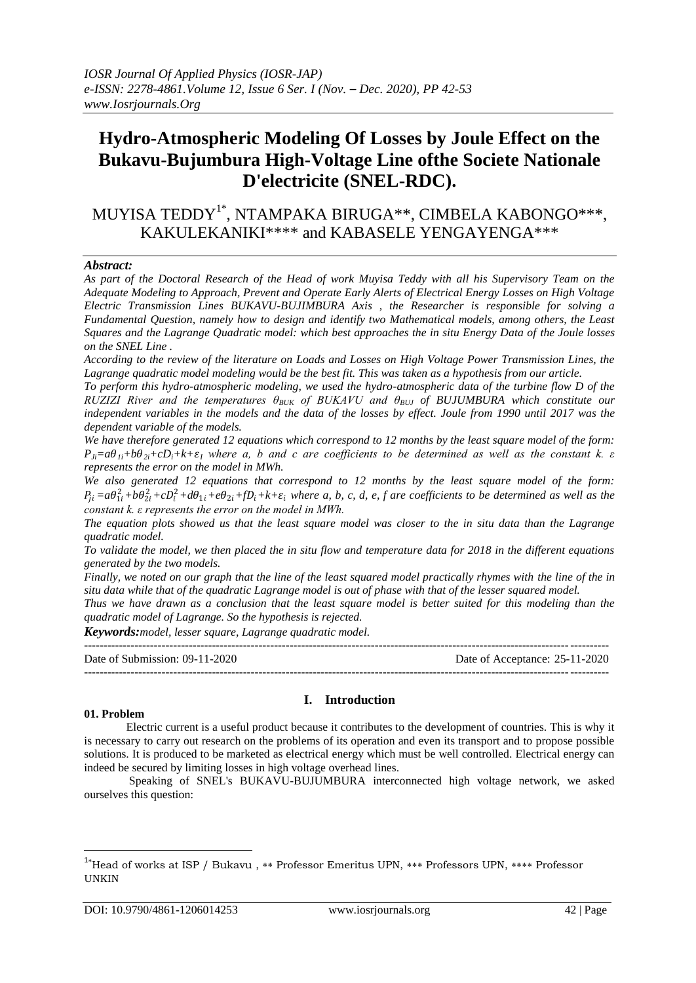# **Hydro-Atmospheric Modeling Of Losses by Joule Effect on the Bukavu-Bujumbura High-Voltage Line ofthe Societe Nationale D'electricite (SNEL-RDC).**

MUYISA TEDDY1\* , NTAMPAKA BIRUGA\*\*, CIMBELA KABONGO\*\*\*, KAKULEKANIKI\*\*\*\* and KABASELE YENGAYENGA\*\*\*

#### *Abstract:*

*As part of the Doctoral Research of the Head of work Muyisa Teddy with all his Supervisory Team on the Adequate Modeling to Approach, Prevent and Operate Early Alerts of Electrical Energy Losses on High Voltage Electric Transmission Lines BUKAVU-BUJIMBURA Axis , the Researcher is responsible for solving a Fundamental Question, namely how to design and identify two Mathematical models, among others, the Least Squares and the Lagrange Quadratic model: which best approaches the in situ Energy Data of the Joule losses on the SNEL Line .*

*According to the review of the literature on Loads and Losses on High Voltage Power Transmission Lines, the Lagrange quadratic model modeling would be the best fit. This was taken as a hypothesis from our article.*

*To perform this hydro-atmospheric modeling, we used the hydro-atmospheric data of the turbine flow D of the RUZIZI River and the temperatures θBUK of BUKAVU and θBUJ of BUJUMBURA which constitute our*  independent variables in the models and the data of the losses by effect. Joule from 1990 until 2017 was the *dependent variable of the models.*

*We have therefore generated 12 equations which correspond to 12 months by the least square model of the form:*   $P_{Ji} = a\theta_{Ii} + b\theta_{2i} + cD_i + k + \varepsilon_I$  where a, b and c are coefficients to be determined as well as the constant k.  $\varepsilon$ *represents the error on the model in MWh.*

*We also generated 12 equations that correspond to 12 months by the least square model of the form:*   $P_{ji} = a\theta_{1i}^2 + b\theta_{2i}^2 + cD_i^2 + d\theta_{1i} + e\theta_{2i} + fD_i + k + \varepsilon_i$  where a, b, c, d, e, f are coefficients to be determined as well as the *constant k. ε represents the error on the model in MWh.*

*The equation plots showed us that the least square model was closer to the in situ data than the Lagrange quadratic model.*

*To validate the model, we then placed the in situ flow and temperature data for 2018 in the different equations generated by the two models.*

*Finally, we noted on our graph that the line of the least squared model practically rhymes with the line of the in situ data while that of the quadratic Lagrange model is out of phase with that of the lesser squared model.*

*Thus we have drawn as a conclusion that the least square model is better suited for this modeling than the quadratic model of Lagrange. So the hypothesis is rejected.*

*Keywords:model, lesser square, Lagrange quadratic model.*

--------------------------------------------------------------------------------------------------------------------------------------- Date of Submission: 09-11-2020 Date of Acceptance: 25-11-2020 ---------------------------------------------------------------------------------------------------------------------------------------

#### **01. Problem**

1

# **I. Introduction**

Electric current is a useful product because it contributes to the development of countries. This is why it is necessary to carry out research on the problems of its operation and even its transport and to propose possible solutions. It is produced to be marketed as electrical energy which must be well controlled. Electrical energy can indeed be secured by limiting losses in high voltage overhead lines.

Speaking of SNEL's BUKAVU-BUJUMBURA interconnected high voltage network, we asked ourselves this question:

<sup>&</sup>lt;sup>1</sup>\*Head of works at ISP / Bukavu, \*\* Professor Emeritus UPN, \*\*\* Professors UPN, \*\*\*\* Professor UNKIN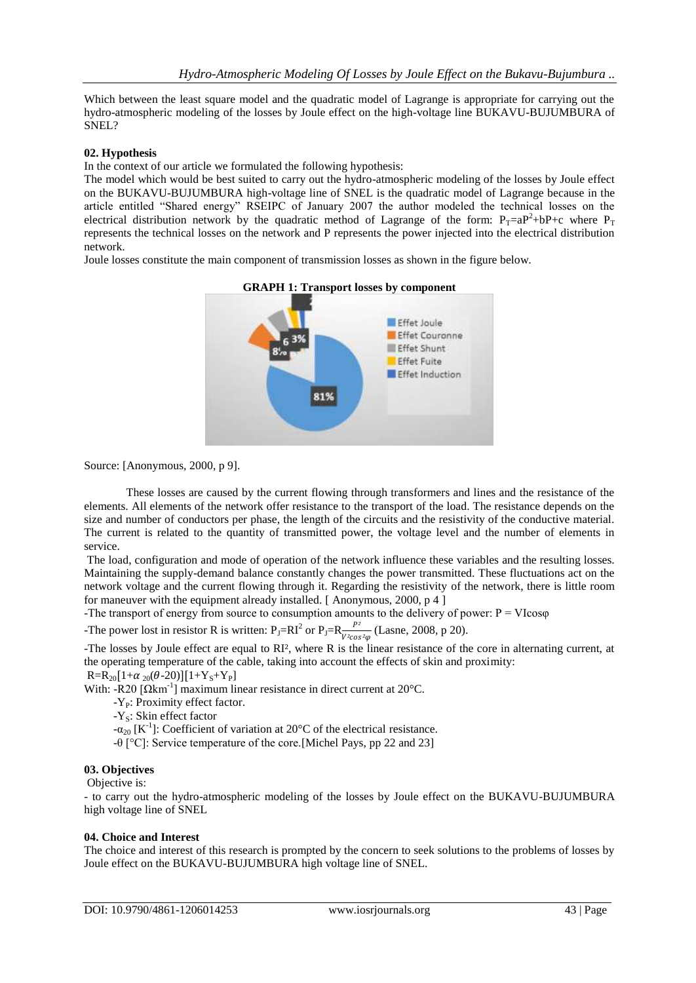Which between the least square model and the quadratic model of Lagrange is appropriate for carrying out the hydro-atmospheric modeling of the losses by Joule effect on the high-voltage line BUKAVU-BUJUMBURA of SNEL?

### **02. Hypothesis**

In the context of our article we formulated the following hypothesis:

The model which would be best suited to carry out the hydro-atmospheric modeling of the losses by Joule effect on the BUKAVU-BUJUMBURA high-voltage line of SNEL is the quadratic model of Lagrange because in the article entitled "Shared energy" RSEIPC of January 2007 the author modeled the technical losses on the electrical distribution network by the quadratic method of Lagrange of the form:  $P_T=aP^2+bP+c$  where  $P_T$ represents the technical losses on the network and P represents the power injected into the electrical distribution network.

Joule losses constitute the main component of transmission losses as shown in the figure below.



Source: [Anonymous, 2000, p 9].

These losses are caused by the current flowing through transformers and lines and the resistance of the elements. All elements of the network offer resistance to the transport of the load. The resistance depends on the size and number of conductors per phase, the length of the circuits and the resistivity of the conductive material. The current is related to the quantity of transmitted power, the voltage level and the number of elements in service.

The load, configuration and mode of operation of the network influence these variables and the resulting losses. Maintaining the supply-demand balance constantly changes the power transmitted. These fluctuations act on the network voltage and the current flowing through it. Regarding the resistivity of the network, there is little room for maneuver with the equipment already installed. [ Anonymous, 2000, p 4 ]

-The transport of energy from source to consumption amounts to the delivery of power:  $P = VI\cos\varphi$ 

-The power lost in resistor R is written:  $P_J=R_I^2$  or  $P_J=R_{\frac{V^2\cos^2\varphi}{V^2\cos^2\varphi}}$  (Lasne, 2008, p 20).

-The losses by Joule effect are equal to RI², where R is the linear resistance of the core in alternating current, at the operating temperature of the cable, taking into account the effects of skin and proximity:

 $R=R_{20}[1+\alpha_{20}(\theta-20)][1+Y_{S}+Y_{P}]$ 

With: -R20 [Ωkm<sup>-1</sup>] maximum linear resistance in direct current at 20°C.

 $-Y<sub>p</sub>$ : Proximity effect factor.

-Y<sub>s</sub>: Skin effect factor

 $-\alpha_{20}$  [K<sup>-1</sup>]: Coefficient of variation at 20<sup>o</sup>C of the electrical resistance.

-θ [°C]: Service temperature of the core.[Michel Pays, pp 22 and 23]

#### **03. Objectives**

Objective is:

- to carry out the hydro-atmospheric modeling of the losses by Joule effect on the BUKAVU-BUJUMBURA high voltage line of SNEL

#### **04. Choice and Interest**

The choice and interest of this research is prompted by the concern to seek solutions to the problems of losses by Joule effect on the BUKAVU-BUJUMBURA high voltage line of SNEL.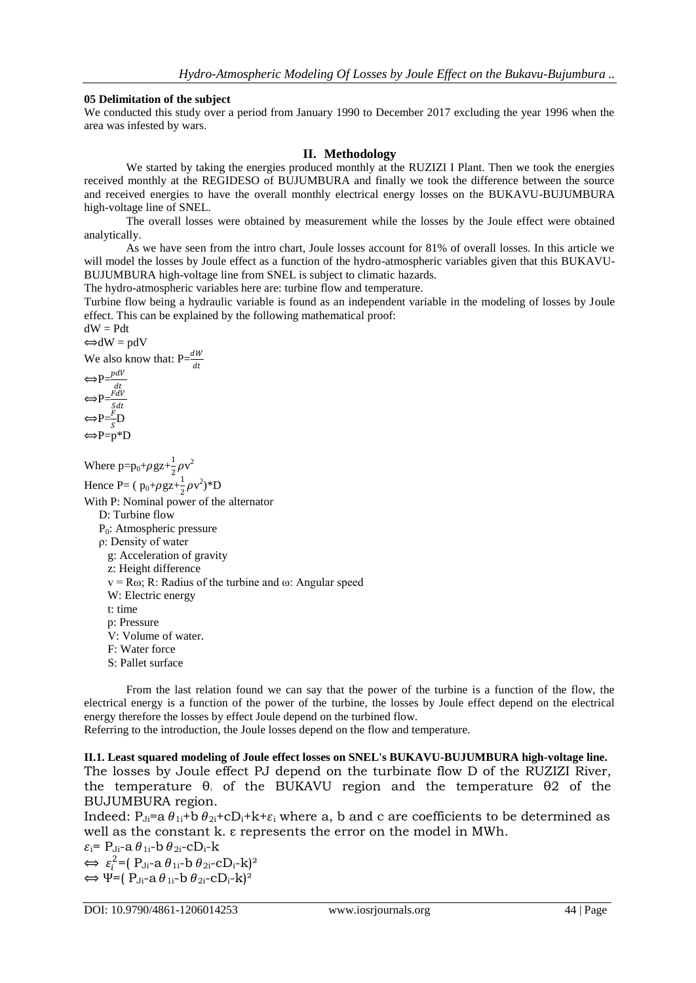# **05 Delimitation of the subject**

We conducted this study over a period from January 1990 to December 2017 excluding the year 1996 when the area was infested by wars.

# **II. Methodology**

We started by taking the energies produced monthly at the RUZIZI I Plant. Then we took the energies received monthly at the REGIDESO of BUJUMBURA and finally we took the difference between the source and received energies to have the overall monthly electrical energy losses on the BUKAVU-BUJUMBURA high-voltage line of SNEL.

The overall losses were obtained by measurement while the losses by the Joule effect were obtained analytically.

As we have seen from the intro chart, Joule losses account for 81% of overall losses. In this article we will model the losses by Joule effect as a function of the hydro-atmospheric variables given that this BUKAVU-BUJUMBURA high-voltage line from SNEL is subject to climatic hazards.

The hydro-atmospheric variables here are: turbine flow and temperature.

Turbine flow being a hydraulic variable is found as an independent variable in the modeling of losses by Joule effect. This can be explained by the following mathematical proof:

 $dW = Pdt$  $\Longleftrightarrow dW = pdV$ 

We also know that:  $P=\frac{dW}{dt}$ 

$$
\Leftrightarrow P = \frac{pdV}{dt}
$$
  
\n
$$
\Leftrightarrow P = \frac{FdV}{S} \Leftrightarrow P = \frac{F}{S}D
$$
  
\n
$$
\Leftrightarrow P = P^*D
$$

Where  $p=p_0+\rho gz+\frac{1}{2}$  $\frac{1}{2}\rho v^2$ 

Hence P= ( $p_0+\rho gz+\frac{1}{2}$  $\frac{1}{2}\rho v^2$ <sup>\*</sup>D With P: Nominal power of the alternator D: Turbine flow P<sub>0</sub>: Atmospheric pressure ρ: Density of water g: Acceleration of gravity z: Height difference  $v = R\omega$ ; R: Radius of the turbine and  $\omega$ : Angular speed W: Electric energy t: time p: Pressure V: Volume of water. F: Water force S: Pallet surface

From the last relation found we can say that the power of the turbine is a function of the flow, the electrical energy is a function of the power of the turbine, the losses by Joule effect depend on the electrical energy therefore the losses by effect Joule depend on the turbined flow.

Referring to the introduction, the Joule losses depend on the flow and temperature.

**II.1. Least squared modeling of Joule effect losses on SNEL's BUKAVU-BUJUMBURA high-voltage line.** The losses by Joule effect PJ depend on the turbinate flow D of the RUZIZI River, the temperature  $\theta_1$  of the BUKAVU region and the temperature  $\theta_2$  of the BUJUMBURA region.

Indeed:  $P_{\text{J}i}$ =a  $\theta_{1i}$ +b  $\theta_{2i}$ +cD<sub>i</sub>+k+ $\varepsilon_i$  where a, b and c are coefficients to be determined as well as the constant k. ε represents the error on the model in MWh.

 $\varepsilon_i$ = P<sub>Ji</sub>-a  $\theta_{1i}$ -b  $\theta_{2i}$ -cD<sub>i</sub>-k  $\Leftrightarrow \varepsilon_i^2 = (P_{\text{J}i} - a \theta_{1i} - b \theta_{2i} - cD_i - k)^2$  $\Leftrightarrow \Psi = (P_{\text{J}i} - a \theta_{1i} - b \theta_{2i} - cD_{i} - k)^{2}$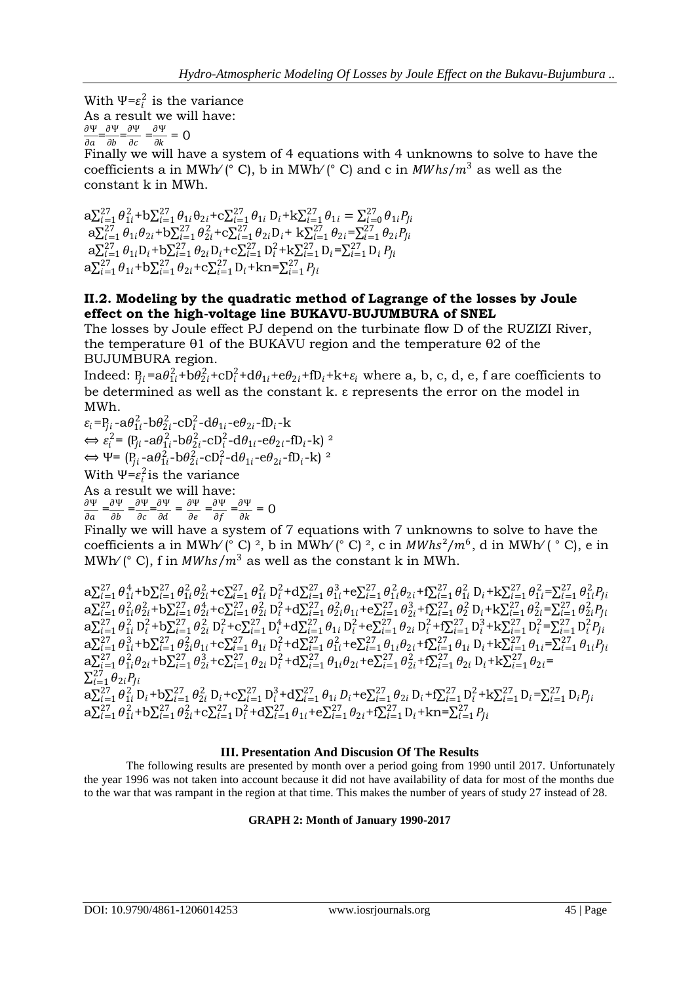With  $\Psi = \varepsilon_i^2$  is the variance As a result we will have: Ψ  $\frac{\partial \Psi}{\partial a} = \frac{\partial \Psi}{\partial b}$  $\frac{\partial \Psi}{\partial b} = \frac{\partial \Psi}{\partial c}$  $\frac{\partial \Psi}{\partial c} = \frac{\partial \Psi}{\partial k}$  $\frac{\partial \mathbf{r}}{\partial k} = 0$ 

Finally we will have a system of 4 equations with 4 unknowns to solve to have the coefficients a in MWh/ $(° C)$ , b in MWh/ $(° C)$  and c in *MWhs/m*<sup>3</sup> as well as the constant k in MWh.

 $a \sum_{i=1}^{27} \theta_{1i}^2 + b \sum_{i=1}^{27} \theta_{1i} \theta_{2i} + c \sum_{i=1}^{27} \theta_{1i} D_i + k \sum_{i=1}^{27} \theta_{1i} = \sum_{i=0}^{27} \theta_{1i} P_{li}$  $a \sum_{i=1}^{27} \theta_{1i} \theta_{2i} + b \sum_{i=1}^{27} \theta_{2i}^{2} + c \sum_{i=1}^{27} \theta_{2i} D_{i} + k \sum_{i=1}^{27} \theta_{2i} = \sum_{i=1}^{27} \theta_{2i} P_{li}$  $a \sum_{i=1}^{27} \theta_{1i} D_i + b \sum_{i=1}^{27} \theta_{2i} D_i + c \sum_{i=1}^{27} D_i^2 + k \sum_{i=1}^{27} D_i = \sum_{i=1}^{27} D_i P_{li}$  $a \sum_{i=1}^{27} \theta_{1i} + b \sum_{i=1}^{27} \theta_{2i} + c \sum_{i=1}^{27} D_i + kn = \sum_{i=1}^{27} P_{ji}$ 

# **II.2. Modeling by the quadratic method of Lagrange of the losses by Joule effect on the high-voltage line BUKAVU-BUJUMBURA of SNEL**

The losses by Joule effect PJ depend on the turbinate flow D of the RUZIZI River, the temperature θ1 of the BUKAVU region and the temperature θ2 of the BUJUMBURA region.

Indeed:  $P_{ji} = a\theta_{1i}^2 + b\theta_{2i}^2 + cD_i^2 + d\theta_{1i} + e\theta_{2i} + fD_i + k + \varepsilon_i$  where a, b, c, d, e, f are coefficients to be determined as well as the constant k. ε represents the error on the model in MWh.

 $\varepsilon_i = P_{ji} - a\theta_{1i}^2 - b\theta_{2i}^2 - cD_i^2 - d\theta_{1i} - e\theta_{2i} - fD_i - k$  $\Leftrightarrow$   $\varepsilon_i^2 = (P_{ji} - a\theta_{1i}^2 - b\theta_{2i}^2 - cD_i^2 - d\theta_{1i} - e\theta_{2i} - fD_i - k)^{-2}$  $\Leftrightarrow \Psi = (P_{ji} - a\theta_{1i}^2 - b\theta_{2i}^2 - cD_i^2 - d\theta_{1i} - e\theta_{2i} - fD_i - k)^2$ With  $\Psi = \varepsilon_i^2$  is the variance As a result we will have: Ψ  $\frac{\partial \Psi}{\partial a} = \frac{\partial \Psi}{\partial b}$  $\frac{\partial \Psi}{\partial b} = \frac{\partial \Psi}{\partial c}$  $\frac{\partial \Psi}{\partial c} = \frac{\partial \Psi}{\partial d}$  $\frac{\partial \Psi}{\partial d} = \frac{\partial \Psi}{\partial e}$  $\frac{\partial \Psi}{\partial e} = \frac{\partial \Psi}{\partial f}$  $\frac{\partial \Psi}{\partial f} = \frac{\partial \Psi}{\partial k}$  $\frac{\partial \mathbf{r}}{\partial k} = 0$ 

Finally we will have a system of 7 equations with 7 unknowns to solve to have the coefficients a in MWh/ $(° C)$ <sup>2</sup>, b in MWh/ $(° C)$ <sup>2</sup>, c in MWhs<sup>2</sup>/m<sup>6</sup>, d in MWh/ $(° C)$ , e in MWh/ $\int$  (° C), f in *MWhs/m<sup>3</sup>* as well as the constant k in MWh.

 $a \sum_{i=1}^{27} \theta_{1i}^4 + b \sum_{i=1}^{27} \theta_{1i}^2 \theta_{2i}^2 + c \sum_{i=1}^{27} \theta_{1i}^2 D_i^2 + d \sum_{i=1}^{27} \theta_{1i}^3 + e \sum_{i=1}^{27} \theta_{1i}^2 \theta_{2i} + f \sum_{i=1}^{27} \theta_{1i}^2 D_i + k \sum_{i=1}^{27} \theta_{1i}^2 = \sum_{i=1}^{27} \theta_{1i}^2 P_{ji}$  $a \sum_{i=1}^{27} \theta_{1i}^2 \theta_{2i}^2 + b \sum_{i=1}^{27} \theta_{2i}^4 + c \sum_{i=1}^{27} \theta_{2i}^2 D_i^2 + d \sum_{i=1}^{27} \theta_{2i}^2 \theta_{1i} + e \sum_{i=1}^{27} \theta_{2i}^3 + f \sum_{i=1}^{27} \theta_{2}^2 D_i + k \sum_{i=1}^{27} \theta_{2i}^2 = \sum_{i=1}^{27} \theta_{2i}^2 P_{li}$  $a \sum_{i=1}^{27} \theta_{1i}^2 D_i^2 + b \sum_{i=1}^{27} \theta_{2i}^2 D_i^2 + c \sum_{i=1}^{27} D_i^4 + d \sum_{i=1}^{27} \theta_{1i} D_i^2 + e \sum_{i=1}^{27} \theta_{2i} D_i^2 + f \sum_{i=1}^{27} D_i^3 + k \sum_{i=1}^{27} D_i^2 = \sum_{i=1}^{27} D_i^2 P_{li}$  $a \sum_{i=1}^{27} \theta_{1i}^3 + b \sum_{i=1}^{27} \theta_{2i}^2 \theta_{1i} + c \sum_{i=1}^{27} \theta_{1i} D_i^2 + d \sum_{i=1}^{27} \theta_{1i}^2 + e \sum_{i=1}^{27} \theta_{1i} \theta_{2i} + f \sum_{i=1}^{27} \theta_{1i} D_i + k \sum_{i=1}^{27} \theta_{1i} = \sum_{i=1}^{27} \theta_{1i} P_{li}$  $a \sum_{i=1}^{27} \theta_{1i}^2 \theta_{2i} + b \sum_{i=1}^{27} \theta_{2i}^3 + c \sum_{i=1}^{27} \theta_{2i} D_i^2 + d \sum_{i=1}^{27} \theta_{1i} \theta_{2i} + e \sum_{i=1}^{27} \theta_{2i}^2 + f \sum_{i=1}^{27} \theta_{2i} D_i + k \sum_{i=1}^{27} \theta_{2i} =$  $\sum_{i=1}^{27} \theta_{2i} P_{ji}$  $a \sum_{i=1}^{27} \theta_{1i}^2 D_i + b \sum_{i=1}^{27} \theta_{2i}^2 D_i + c \sum_{i=1}^{27} D_i^3 + d \sum_{i=1}^{27} \theta_{1i} D_i + e \sum_{i=1}^{27} \theta_{2i} D_i + f \sum_{i=1}^{27} D_i^2 + k \sum_{i=1}^{27} D_i = \sum_{i=1}^{27} D_i P_{li}$  $a \sum_{i=1}^{27} \theta_{1i}^2 + b \sum_{i=1}^{27} \theta_{2i}^2 + c \sum_{i=1}^{27} D_i^2 + d \sum_{i=1}^{27} \theta_{1i} + e \sum_{i=1}^{27} \theta_{2i} + f \sum_{i=1}^{27} D_i + k n = \sum_{i=1}^{27} P_{li}$ 

# **III. Presentation And Discusion Of The Results**

The following results are presented by month over a period going from 1990 until 2017. Unfortunately the year 1996 was not taken into account because it did not have availability of data for most of the months due to the war that was rampant in the region at that time. This makes the number of years of study 27 instead of 28.

# **GRAPH 2: Month of January 1990-2017**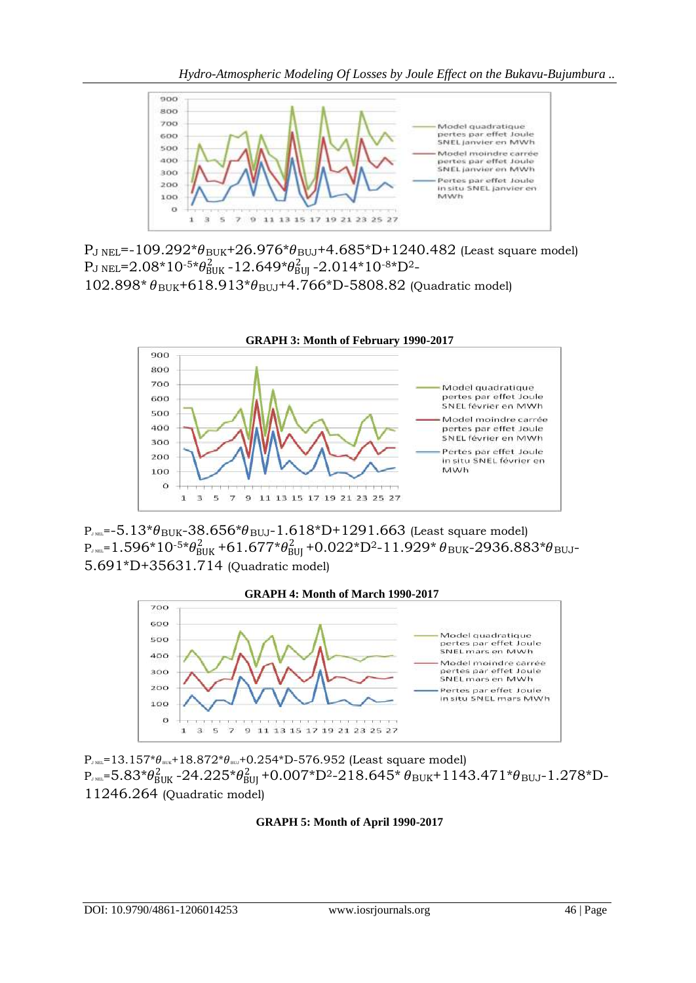

 $P_{J NEL}$ =-109.292\* $\theta_{BUK}$ +26.976\* $\theta_{BUJ}$ +4.685\*D+1240.482 (Least square model)  ${\rm P_J \, {\rm NEL}}$ =2.08\*10<sup>-5\*</sup> $\theta_{\rm BUK}^2$ -12.649\* $\theta_{\rm BUI}^2$ -2.014\*10<sup>-8\*</sup>D<sup>2</sup>- $102.898* \theta_{\text{BUK}} + 618.913* \theta_{\text{BUJ}} + 4.766*D - 5808.82$  (Quadratic model)



 $P_{JNE}=5.13* \theta_{BUK} - 38.656* \theta_{BUI}-1.618*D+1291.663$  (Least square model)  $_\textrm{P}_{\textrm{\tiny{J NEL}}}$ = $1.596*10$ -5\* $\theta_{\textrm{BUK}}^2$ +6 $1.677* \theta_{\textrm{BUI}}^2$ +0.022\*D<sup>2</sup>-11.929\*  $\theta_{\textrm{BUK}}$ -2936.883\* $\theta_{\textrm{BUI}}$ -5.691\*D+35631.714 (Quadratic model)



 $P_{J NEL}=13.157*\theta_{BUK}+18.872*\theta_{BUK}+0.254*D-576.952$  (Least square model)  $\rm P_{J~NEL}$ = $\rm 5.83* \theta_{BUK}^2$  - $\rm 24.225* \theta_{BUI}^2$  + $\rm 0.007*D^2$ - $\rm 218.645*$   $\theta_{BUK}$ + $\rm 1143.471* \theta_{BUI}$ - $\rm 1.278*D$ -11246.264 (Quadratic model)

# **GRAPH 5: Month of April 1990-2017**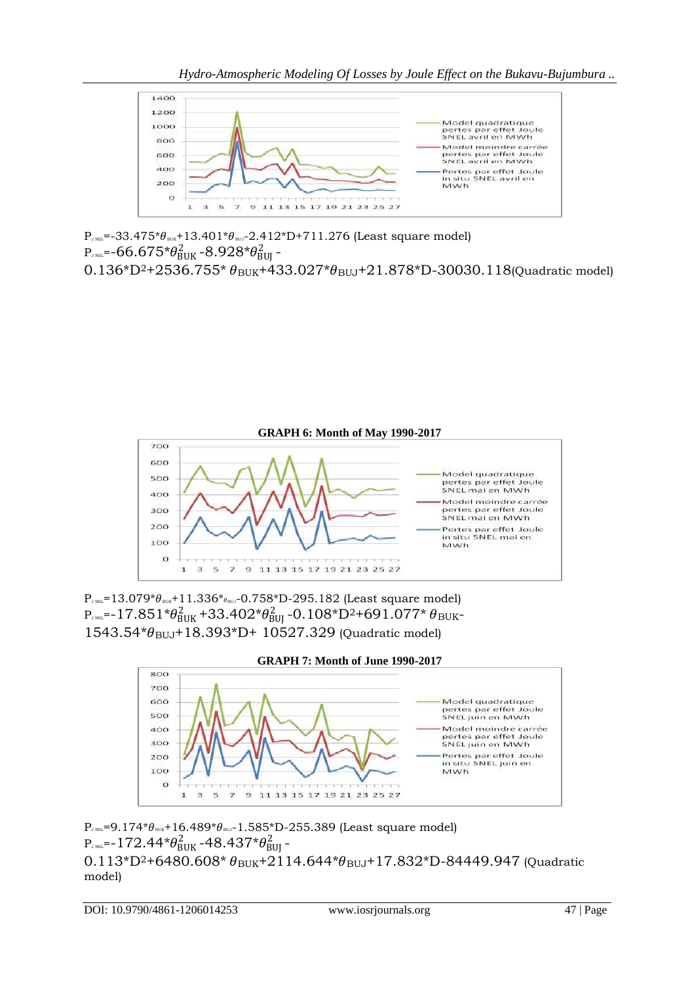

 $P_{JNE}=$  -33.475\* $\theta_{BUK}$ +13.401\* $\theta_{BQU}$ -2.412\*D+711.276 (Least square model)  $\rm P_{\tiny J}\rm N_{\rm BL}$ =-66.675\* $\theta_{\rm BUK}^2$ -8.928\* $\theta_{\rm BUI}^2$ -

 $0.136*D^2+2536.755*pi$   $\theta_{BUK}+433.027*pi$ <sub>BUJ</sub>+21.878<sup>\*</sup>D-30030.118(Quadratic model)



 $P_{J NEL}=13.079* \theta_{BUK}+11.336* \theta_{BRU}-0.758*D-295.182$  (Least square model)  $\rm P_{J~NEL}$ =-17.851\* $\rm \theta_{BUK}^2$ +33.402\* $\rm \theta_{BUJ}^2$ -0.108\* $\rm D^{2+}$ 691.077\*  $\rm \theta_{BUK}$ - $1543.54* \theta_{\text{BUL}} + 18.393*D + 10527.329$  (Quadratic model)



```
P_{\text{J NEL}}=9.174*\theta_{\text{\tiny BUK}}+16.489*\theta_{\text{\tiny BUL}}-1.585*D-255.389 (Least square model)
\rm P_{\tiny JNEL}=-172.44*\theta_{\rm BUK}^2-48.437*\theta_{\rm BUI}^2-
0.113*D^2+6480.608*D<sub>BUK</sub>+2114.644<sup>*</sup>\theta_{BUJ}+17.832<sup>*</sup>D-84449.947 (Quadratic
model)
```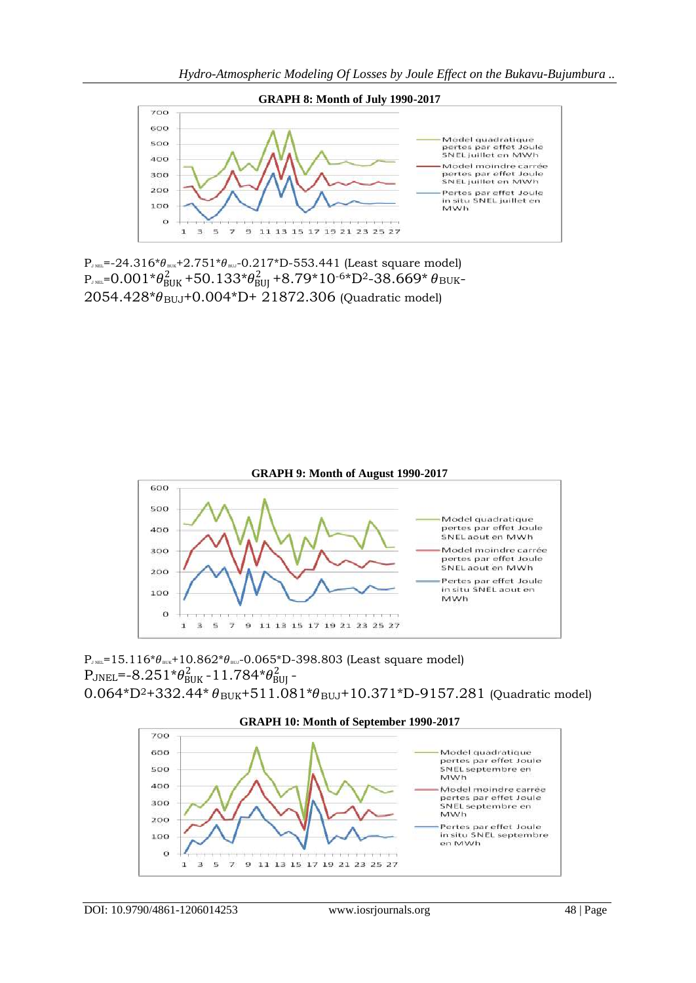

 $P_{JNE}=24.316* \theta_{BUK}+2.751* \theta_{BU}-0.217*D-553.441$  (Least square model)  $\rm P_{J~NEL}$ = $\rm 0.001$ \* $\rm \theta_{BUK}^2$ +50.133\* $\rm \theta_{BUJ}^2$ +8.79\*10-6\* $\rm D^2$ -38.669\*  $\rm \theta_{BUK}$ - $2054.428* \theta_{BUJ} + 0.004*D + 21872.306$  (Quadratic model)



 $P_{J NEL}=15.116* \theta_{BUK}+10.862* \theta_{BUJ}-0.065*D-398.803$  (Least square model)  $\rm P_{\rm JNEL}$ =-8.251\* $\theta_{\rm BUK}^2$ -11.784\* $\theta_{\rm BUI}^2$ - $0.064*D^2+332.44* \theta_{BUK}+511.081* \theta_{BUJ}+10.371*D-9157.281$  (Quadratic model)

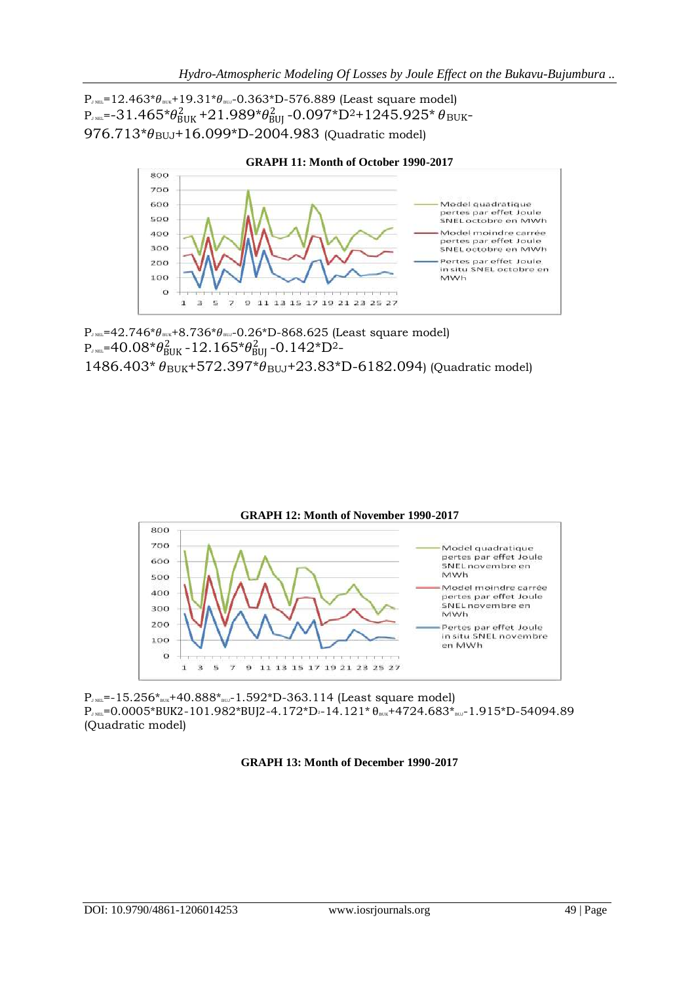$P_{JNE}=12.463*\theta_{BUR}+19.31*\theta_{BU}-0.363*D-576.889$  (Least square model)  $\rm P_{J~NEL}$ =-31.465\* $\theta_{\rm BUK}^2$ +21.989\* $\theta_{\rm BUI}^2$ -0.097\*D<sup>2</sup>+1245.925\*  $\theta_{\rm BUK}$ - $976.713* \theta_{\text{BUJ}} + 16.099*D-2004.983$  (Quadratic model)



 $P_{J NEL}=42.746* \theta_{BUK}+8.736* \theta_{BUJ}-0.26* D-868.625$  (Least square model)  $\rm P_{\tiny JNEL}$ =40.08\* $\theta_{\rm BUK}^2$ -12.165\* $\theta_{\rm BUI}^2$ -0.142\* $\rm D^2$ - $1486.403* \theta_{BUK} + 572.397* \theta_{BUJ} + 23.83*D-6182.094$ ) (Quadratic model)



 $P_{JNEL}$ =-15.256\* $_{BUK}$ +40.888\* $_{BUL}$ -1.592\*D-363.114 (Least square model)  $P_{J,NEL}=0.0005*BUK2-101.982*BUJ2-4.172*D-14.121*  $\theta_{NUE}+4724.683*_{BUL}-1.915*D-54094.89$$ (Quadratic model)

#### **GRAPH 13: Month of December 1990-2017**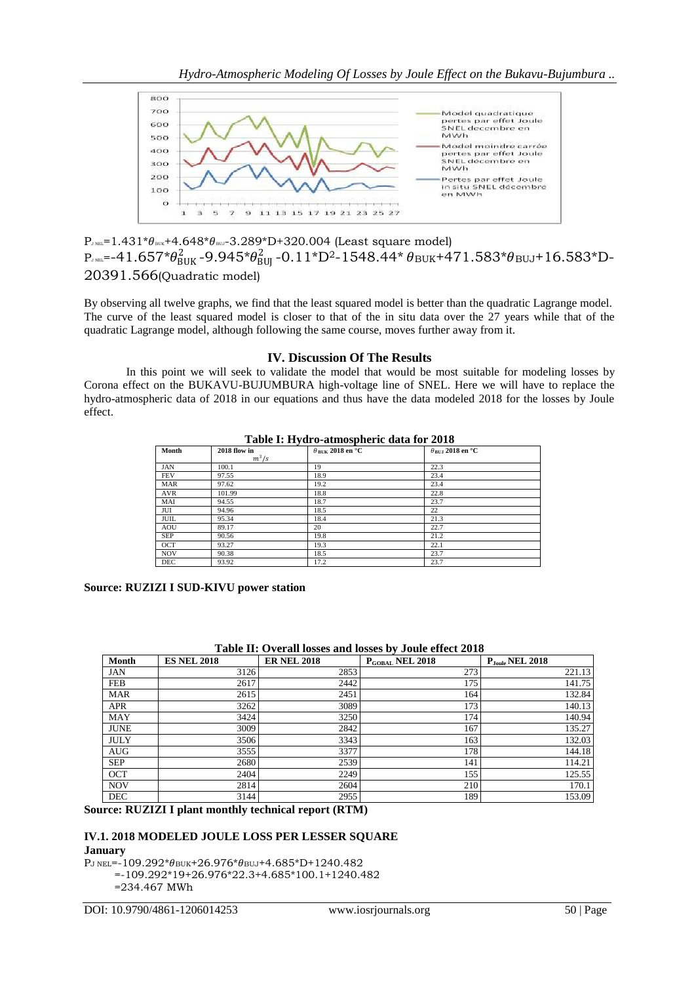

 $P_{JNE}=1.431* \theta_{BUK}+4.648* \theta_{BU}-3.289*D+320.004$  (Least square model)  $\rm P_{J~NEL}$ =-41.657\* $\theta_{BUK}^{2}$ -9.945\* $\theta_{BUI}^{2}$ -0.11\*D<sup>2</sup>-1548.44\*  $\theta_{BUK}$ +471.583\* $\theta_{BUJ}$ +16.583\*D-20391.566(Quadratic model)

By observing all twelve graphs, we find that the least squared model is better than the quadratic Lagrange model. The curve of the least squared model is closer to that of the in situ data over the 27 years while that of the quadratic Lagrange model, although following the same course, moves further away from it.

### **IV. Discussion Of The Results**

In this point we will seek to validate the model that would be most suitable for modeling losses by Corona effect on the BUKAVU-BUJUMBURA high-voltage line of SNEL. Here we will have to replace the hydro-atmospheric data of 2018 in our equations and thus have the data modeled 2018 for the losses by Joule effect.

#### **Table I: Hydro-atmospheric data for 2018**

| Month      | 2018 flow in | $\theta_{\rm RIK}$ 2018 en °C | $\theta_{\rm BUJ}$ 2018 en °C |
|------------|--------------|-------------------------------|-------------------------------|
|            | $m^3/s$      |                               |                               |
| <b>JAN</b> | 100.1        | 19                            | 22.3                          |
| <b>FEV</b> | 97.55        | 18.9                          | 23.4                          |
| <b>MAR</b> | 97.62        | 19.2                          | 23.4                          |
| AVR        | 101.99       | 18.8                          | 22.8                          |
| MAI        | 94.55        | 18.7                          | 23.7                          |
| JUI        | 94.96        | 18.5                          | 22                            |
| JUIL       | 95.34        | 18.4                          | 21.3                          |
| AOU        | 89.17        | 20                            | 22.7                          |
| <b>SEP</b> | 90.56        | 19.8                          | 21.2                          |
| <b>OCT</b> | 93.27        | 19.3                          | 22.1                          |
| <b>NOV</b> | 90.38        | 18.5                          | 23.7                          |
| <b>DEC</b> | 93.92        | 17.2                          | 23.7                          |

**Source: RUZIZI I SUD-KIVU power station**

| Table II. Overall losses and losses by Joule effect 2010 |                    |                    |                             |                             |  |  |
|----------------------------------------------------------|--------------------|--------------------|-----------------------------|-----------------------------|--|--|
| Month                                                    | <b>ES NEL 2018</b> | <b>ER NEL 2018</b> | P <sub>GOBAL</sub> NEL 2018 | $P_{\text{Joule}}$ NEL 2018 |  |  |
| <b>JAN</b>                                               | 3126               | 2853               | 273                         | 221.13                      |  |  |
| <b>FEB</b>                                               | 2617               | 2442               | 175                         | 141.75                      |  |  |
| <b>MAR</b>                                               | 2615               | 2451               | 164                         | 132.84                      |  |  |
| <b>APR</b>                                               | 3262               | 3089               | 173                         | 140.13                      |  |  |
| <b>MAY</b>                                               | 3424               | 3250               | 174                         | 140.94                      |  |  |
| <b>JUNE</b>                                              | 3009               | 2842               | 167                         | 135.27                      |  |  |
| <b>JULY</b>                                              | 3506               | 3343               | 163                         | 132.03                      |  |  |
| <b>AUG</b>                                               | 3555               | 3377               | 178                         | 144.18                      |  |  |
| <b>SEP</b>                                               | 2680               | 2539               | 141                         | 114.21                      |  |  |
| <b>OCT</b>                                               | 2404               | 2249               | 155                         | 125.55                      |  |  |
| <b>NOV</b>                                               | 2814               | 2604               | 210                         | 170.1                       |  |  |
| <b>DEC</b>                                               | 3144               | 2955               | 189                         | 153.09                      |  |  |

# **Table II: Overall losses and losses by Joule effect 2018**

**Source: RUZIZI I plant monthly technical report (RTM)**

#### **IV.1. 2018 MODELED JOULE LOSS PER LESSER SQUARE January**

 $P_{J NEL}$ =-109.292\* $\theta_{BUK}$ +26.976\* $\theta_{BUJ}$ +4.685\*D+1240.482 =-109.292\*19+26.976\*22.3+4.685\*100.1+1240.482

=234.467 MWh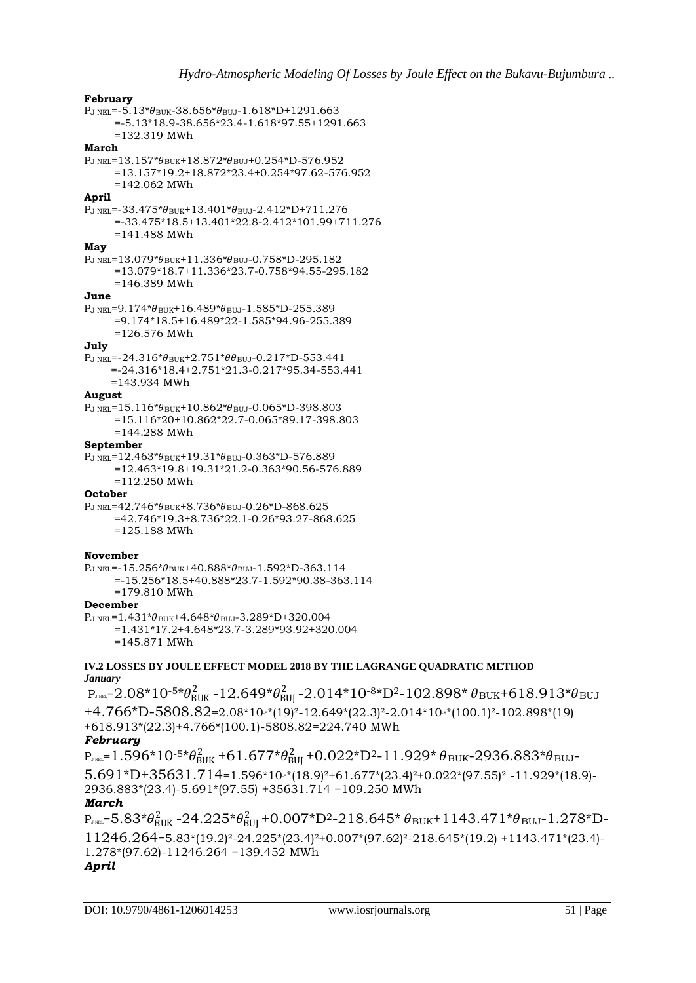#### **February**

 $P<sub>J NEL</sub>=-5.13* $\theta$ <sub>BUK</sub>-38.656* $\theta$ <sub>BUJ</sub>-1.618*D+1291.663$  =-5.13\*18.9-38.656\*23.4-1.618\*97.55+1291.663 =132.319 MWh **March**  $P_{J NEL}=13.157*\theta_{BUK}+18.872*\theta_{BUJ}+0.254*D-576.952$  =13.157\*19.2+18.872\*23.4+0.254\*97.62-576.952 =142.062 MWh **April**  $P_{J NEL}$ =-33.475\* $\theta_{BUK}$ +13.401\* $\theta_{BUI}$ -2.412\*D+711.276 =-33.475\*18.5+13.401\*22.8-2.412\*101.99+711.276 =141.488 MWh **May**  $P_{J NEL}$ =13.079\* $\theta_{BUK}$ +11.336\* $\theta_{BUI}$ -0.758\*D-295.182 =13.079\*18.7+11.336\*23.7-0.758\*94.55-295.182 =146.389 MWh **June**  $P_{J NEL}=9.174* \theta_{BUK}+16.489* \theta_{BUL}-1.585*D-255.389$  =9.174\*18.5+16.489\*22-1.585\*94.96-255.389 =126.576 MWh **July**  $P_{J NEL} = -24.316* \theta_{BUK} + 2.751* \theta \theta_{BUJ} - 0.217*D-553.441$  =-24.316\*18.4+2.751\*21.3-0.217\*95.34-553.441 =143.934 MWh **August**  $P_{J NEL}$ =15.116\* $\theta_{BUK}$ +10.862\* $\theta_{BUI}$ -0.065\*D-398.803 =15.116\*20+10.862\*22.7-0.065\*89.17-398.803 =144.288 MWh **September**  $P_{J NEL}$ =12.463\* $\theta_{BUK}$ +19.31\* $\theta_{BUI}$ -0.363\*D-576.889 =12.463\*19.8+19.31\*21.2-0.363\*90.56-576.889 =112.250 MWh **October**  $P_{J NEL}$ =42.746\* $\theta_{BUK}$ +8.736\* $\theta_{BUI}$ -0.26\*D-868.625 =42.746\*19.3+8.736\*22.1-0.26\*93.27-868.625 =125.188 MWh

#### **November**

 $P_{J NEL}$ =-15.256\* $\theta_{BUK}$ +40.888\* $\theta_{BUL}$ -1.592\*D-363.114 =-15.256\*18.5+40.888\*23.7-1.592\*90.38-363.114 =179.810 MWh

# **December**

 $P_{J NEL}=1.431* \theta_{BUK}+4.648* \theta_{BUJ}-3.289*D+320.004$  =1.431\*17.2+4.648\*23.7-3.289\*93.92+320.004 =145.871 MWh

#### **IV.2 LOSSES BY JOULE EFFECT MODEL 2018 BY THE LAGRANGE QUADRATIC METHOD** *January*

 $\rm P_{J}$ nel= $2.08*10$ -5\* $\theta_{\rm BUK}^2$ -12.649\* $\theta_{\rm BUI}^2$ -2.014\*10-8\*D<sup>2</sup>-102.898\*  $\theta_{\rm BUK}$ +618.913\* $\theta_{\rm BUL}$ +4.766\*D-5808.82=2.08\*10-5\*(19)²-12.649\*(22.3)²-2.014\*10-8\*(100.1)²-102.898\*(19) +618.913\*(22.3)+4.766\*(100.1)-5808.82=224.740 MWh *February*  $\rm P_{J~NEL}$ = $\rm 1.596*10$ -5\* $\theta_{BUK}^2$ +6 $\rm 1.677* \theta_{BUI}^2$ +0.022\*D<sup>2</sup>-11.929\*  $\theta_{BUK}$ -2936.883\* $\theta_{BUI}$ -

 $5.691*D+35631.714=1.596*10**(18.9)^{2}+61.677*(23.4)^{2}+0.022*(97.55)^{2}-11.929*(18.9)-$ 2936.883\*(23.4)-5.691\*(97.55) +35631.714 =109.250 MWh

### *March*

 $\rm P_{J~NEL}$ = $\rm 5.83* \theta_{BUK}^2$  - $\rm 24.225* \theta_{BUI}^2$  + $\rm 0.007*D^2$ - $\rm 218.645*$   $\theta_{BUK}$ + $\rm 1143.471* \theta_{BUI}$ - $\rm 1.278*D$ -11246.264=5.83\*(19.2)²-24.225\*(23.4)²+0.007\*(97.62)²-218.645\*(19.2) +1143.471\*(23.4)- 1.278\*(97.62)-11246.264 =139.452 MWh

# *April*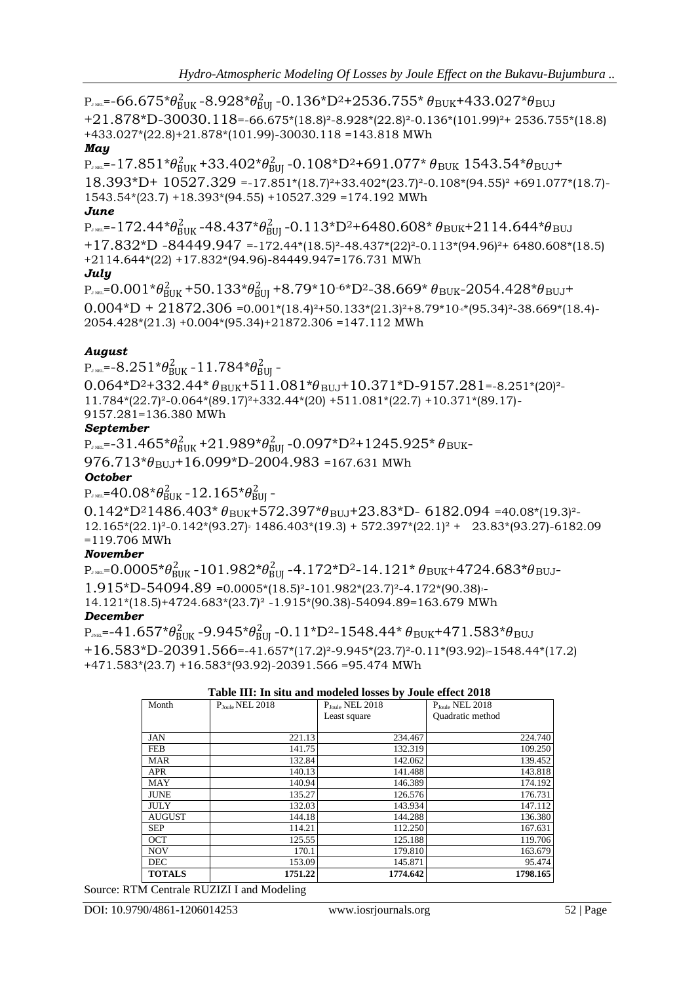$\rm P_{J}$ rel=-66.675\* $\theta_{\rm BUK}^2$ -8.928\* $\theta_{\rm BUI}^2$ -0.136\*D<sup>2</sup>+2536.755\*  $\theta_{\rm BUK}$ +433.027\* $\theta_{\rm BUI}$ +21.878\*D-30030.118=-66.675\*(18.8)²-8.928\*(22.8)²-0.136\*(101.99)²+ 2536.755\*(18.8) +433.027\*(22.8)+21.878\*(101.99)-30030.118 =143.818 MWh

# *May*

 $\rm P_{JME}$ =-17.851\* $\theta_{BUK}^2$ +33.402\* $\theta_{BUI}^2$ -0.108\*D<sup>2</sup>+691.077\*  $\theta_{BUK}$  1543.54\* $\theta_{BUI}$ + 18.393\*D+ 10527.329 =-17.851\*(18.7)²+33.402\*(23.7)²-0.108\*(94.55)² +691.077\*(18.7)- 1543.54\*(23.7) +18.393\*(94.55) +10527.329 =174.192 MWh

# *June*

 $\rm P_{J~NEL}$ =-172.44\* $\theta_{BUK}^2$ -48.437\* $\theta_{BUI}^2$ -0.113\*D<sup>2</sup>+6480.608\*  $\theta_{BUK}$ +2114.644\* $\theta_{BUI}$ +17.832\*D -84449.947 =-172.44\*(18.5)²-48.437\*(22)²-0.113\*(94.96)²+ 6480.608\*(18.5) +2114.644\*(22) +17.832\*(94.96)-84449.947=176.731 MWh *July*

 $\rm P_{J~NEL}$ =0.001\* $\theta_{BUK}^2$ +50.133\* $\theta_{BUI}^2$ +8.79\*10<sup>-6\*</sup>D<sup>2</sup>-38.669\*  $\theta_{BUK}$ -2054.428\* $\theta_{BUI}$ +  $0.004*D + 21872.306 = 0.001*(18.4)^{2} + 50.133*(21.3)^{2} + 8.79*10* (95.34)^{2} - 38.669*(18.4) -$ 2054.428\*(21.3) +0.004\*(95.34)+21872.306 =147.112 MWh

# *August*

 $\rm P_{\tiny J}\rm N_{\rm BL}$ =- $8.251^{*}\theta_{\rm BUK}^{2}$  –  $11.784^{*}\theta_{\rm BUI}^{2}$  –

 $0.064*D^2+332.44*$   $\theta_{\text{BUK}}+511.081*D^2_{\text{BUJ}}+10.371*D-9157.281=-8.251*(20)^2-$ 11.784\*(22.7)²-0.064\*(89.17)²+332.44\*(20) +511.081\*(22.7) +10.371\*(89.17)-

9157.281=136.380 MWh

# *September*

 $\rm P_{J~NEL}$ =-31.465\* $\theta_{\rm BUK}^2$ +21.989\* $\theta_{\rm BUI}^2$ -0.097\*D<sup>2</sup>+1245.925\*  $\theta_{\rm BUK}$ - $976.713* \theta_{\text{BUL}} + 16.099*D-2004.983 = 167.631$  MWh

# *October*

PJ NEL=40.08\*BUK 2 -12.165\*BUJ 2 -

 $0.142*D^21486.403*b_{BUK}+572.397*b_{BUJ}+23.83*D-6182.094=40.08*(19.3)^2 12.165*(22.1)^2 - 0.142*(93.27)$ <sup>2</sup> 1486.403\*(19.3) + 572.397\*(22.1)<sup>2</sup> + 23.83\*(93.27)-6182.09 =119.706 MWh

# *November*

 $\rm P_{J}$ nel= $\rm 0.0005$ \* $\theta_{\rm BUK}^2$ - $\rm 101.982$ \* $\theta_{\rm BUI}^2$ - $\rm 4.172$ \* $\rm D^2$ - $\rm 14.121$ \*  $\theta_{\rm BUK}$ +4724.683\* $\theta_{\rm BUI}$ - $1.915*D-54094.89 = 0.0005*(18.5)<sup>2</sup>-101.982*(23.7)<sup>2</sup>-4.172*(90.38)<sup>2</sup>-$ 14.121\*(18.5)+4724.683\*(23.7)² -1.915\*(90.38)-54094.89=163.679 MWh *December*

 $\rm P_{\rm MBL}$ =-41.657\* $\theta_{\rm BUK}^2$ -9.945\* $\theta_{\rm BUI}^2$ -0.11\*D<sup>2</sup>-1548.44\*  $\theta_{\rm BUK}$ +471.583\* $\theta_{\rm BUI}$  $+16.583*D-20391.566=41.657*(17.2)^2-9.945*(23.7)^2-0.11*(93.92)^2-1548.44*(17.2)$ +471.583\*(23.7) +16.583\*(93.92)-20391.566 =95.474 MWh

|  | Table III: In situ and modeled losses by Joule effect 2018 |  |  |  |
|--|------------------------------------------------------------|--|--|--|
|  |                                                            |  |  |  |

| Month         | $PIoul$ <sub>NEL</sub> 2018 | P <sub>Joule</sub> NEL 2018 | P <sub>Joule</sub> NEL 2018 |
|---------------|-----------------------------|-----------------------------|-----------------------------|
|               |                             | Least square                | Quadratic method            |
|               |                             |                             |                             |
| <b>JAN</b>    | 221.13                      | 234.467                     | 224.740                     |
| <b>FEB</b>    | 141.75                      | 132.319                     | 109.250                     |
| <b>MAR</b>    | 132.84                      | 142.062                     | 139.452                     |
| <b>APR</b>    | 140.13                      | 141.488                     | 143.818                     |
| MAY           | 140.94                      | 146.389                     | 174.192                     |
| <b>JUNE</b>   | 135.27                      | 126.576                     | 176.731                     |
| <b>JULY</b>   | 132.03                      | 143.934                     | 147.112                     |
| <b>AUGUST</b> | 144.18                      | 144.288                     | 136.380                     |
| <b>SEP</b>    | 114.21                      | 112.250                     | 167.631                     |
| <b>OCT</b>    | 125.55                      | 125.188                     | 119.706                     |
| <b>NOV</b>    | 170.1                       | 179.810                     | 163.679                     |
| <b>DEC</b>    | 153.09                      | 145.871                     | 95.474                      |
| <b>TOTALS</b> | 1751.22                     | 1774.642                    | 1798.165                    |

Source: RTM Centrale RUZIZI I and Modeling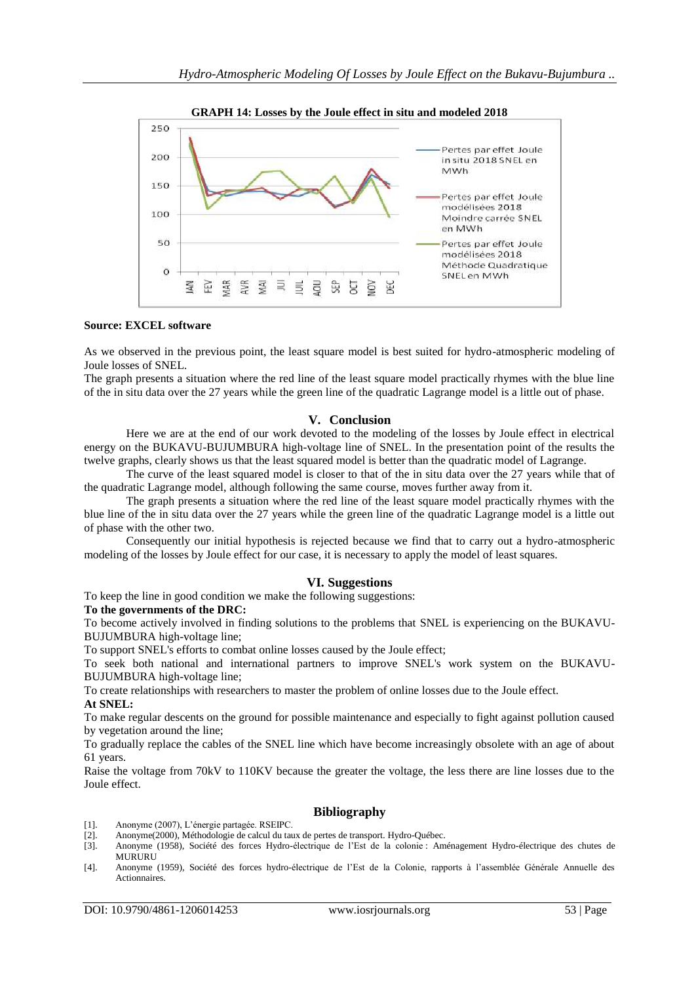

#### **GRAPH 14: Losses by the Joule effect in situ and modeled 2018**

### **Source: EXCEL software**

As we observed in the previous point, the least square model is best suited for hydro-atmospheric modeling of Joule losses of SNEL.

The graph presents a situation where the red line of the least square model practically rhymes with the blue line of the in situ data over the 27 years while the green line of the quadratic Lagrange model is a little out of phase.

#### **V. Conclusion**

Here we are at the end of our work devoted to the modeling of the losses by Joule effect in electrical energy on the BUKAVU-BUJUMBURA high-voltage line of SNEL. In the presentation point of the results the twelve graphs, clearly shows us that the least squared model is better than the quadratic model of Lagrange.

The curve of the least squared model is closer to that of the in situ data over the 27 years while that of the quadratic Lagrange model, although following the same course, moves further away from it.

The graph presents a situation where the red line of the least square model practically rhymes with the blue line of the in situ data over the 27 years while the green line of the quadratic Lagrange model is a little out of phase with the other two.

Consequently our initial hypothesis is rejected because we find that to carry out a hydro-atmospheric modeling of the losses by Joule effect for our case, it is necessary to apply the model of least squares.

#### **VI. Suggestions**

To keep the line in good condition we make the following suggestions:

#### **To the governments of the DRC:**

To become actively involved in finding solutions to the problems that SNEL is experiencing on the BUKAVU-BUJUMBURA high-voltage line;

To support SNEL's efforts to combat online losses caused by the Joule effect;

To seek both national and international partners to improve SNEL's work system on the BUKAVU-BUJUMBURA high-voltage line;

To create relationships with researchers to master the problem of online losses due to the Joule effect. **At SNEL:**

To make regular descents on the ground for possible maintenance and especially to fight against pollution caused

by vegetation around the line;

To gradually replace the cables of the SNEL line which have become increasingly obsolete with an age of about 61 years.

Raise the voltage from 70kV to 110KV because the greater the voltage, the less there are line losses due to the Joule effect.

#### **Bibliography**

- [1]. Anonyme (2007), L'énergie partagée. RSEIPC.
- [2]. Anonyme(2000), Méthodologie de calcul du taux de pertes de transport. Hydro-Québec.
- [3]. Anonyme (1958), Société des forces Hydro-électrique de l'Est de la colonie : Aménagement Hydro-électrique des chutes de MURURU
- [4]. Anonyme (1959), Société des forces hydro-électrique de l'Est de la Colonie, rapports à l'assemblée Générale Annuelle des Actionnaires.